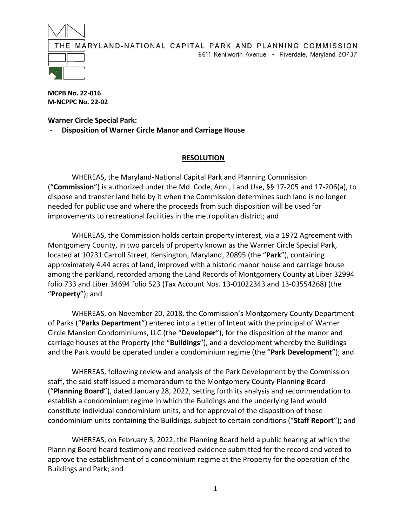

**MCPB No. 22-016 M-NCPPC No. 22-02**

**Warner Circle Special Park:** - **Disposition of Warner Circle Manor and Carriage House**

## **RESOLUTION**

WHEREAS, the Maryland-National Capital Park and Planning Commission ("**Commission**") is authorized under the Md. Code, Ann., Land Use, §§ 17-205 and 17-206(a), to dispose and transfer land held by it when the Commission determines such land is no longer needed for public use and where the proceeds from such disposition will be used for improvements to recreational facilities in the metropolitan district; and

WHEREAS, the Commission holds certain property interest, via a 1972 Agreement with Montgomery County, in two parcels of property known as the Warner Circle Special Park, located at 10231 Carroll Street, Kensington, Maryland, 20895 (the "**Park**"), containing approximately 4.44 acres of land, improved with a historic manor house and carriage house among the parkland, recorded among the Land Records of Montgomery County at Liber 32994 folio 733 and Liber 34694 folio 523 (Tax Account Nos. 13-01022343 and 13-03554268) (the "**Property**"); and

WHEREAS, on November 20, 2018, the Commission's Montgomery County Department of Parks ("**Parks Department**") entered into a Letter of Intent with the principal of Warner Circle Mansion Condominiums, LLC (the "**Developer**"), for the disposition of the manor and carriage houses at the Property (the "**Buildings**"), and a development whereby the Buildings and the Park would be operated under a condominium regime (the "**Park Development**"); and

WHEREAS, following review and analysis of the Park Development by the Commission staff, the said staff issued a memorandum to the Montgomery County Planning Board ("**Planning Board**"), dated January 28, 2022, setting forth its analysis and recommendation to establish a condominium regime in which the Buildings and the underlying land would constitute individual condominium units, and for approval of the disposition of those condominium units containing the Buildings, subject to certain conditions ("**Staff Report**"); and

WHEREAS, on February 3, 2022, the Planning Board held a public hearing at which the Planning Board heard testimony and received evidence submitted for the record and voted to approve the establishment of a condominium regime at the Property for the operation of the Buildings and Park; and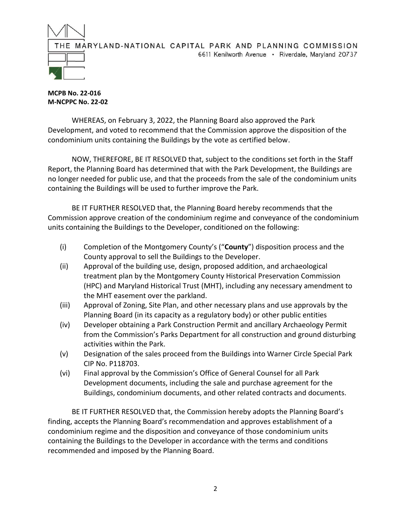

**MCPB No. 22-016 M-NCPPC No. 22-02**

WHEREAS, on February 3, 2022, the Planning Board also approved the Park Development, and voted to recommend that the Commission approve the disposition of the condominium units containing the Buildings by the vote as certified below.

NOW, THEREFORE, BE IT RESOLVED that, subject to the conditions set forth in the Staff Report, the Planning Board has determined that with the Park Development, the Buildings are no longer needed for public use, and that the proceeds from the sale of the condominium units containing the Buildings will be used to further improve the Park.

BE IT FURTHER RESOLVED that, the Planning Board hereby recommends that the Commission approve creation of the condominium regime and conveyance of the condominium units containing the Buildings to the Developer, conditioned on the following:

- (i) Completion of the Montgomery County's ("**County**") disposition process and the County approval to sell the Buildings to the Developer.
- (ii) Approval of the building use, design, proposed addition, and archaeological treatment plan by the Montgomery County Historical Preservation Commission (HPC) and Maryland Historical Trust (MHT), including any necessary amendment to the MHT easement over the parkland.
- (iii) Approval of Zoning, Site Plan, and other necessary plans and use approvals by the Planning Board (in its capacity as a regulatory body) or other public entities
- (iv) Developer obtaining a Park Construction Permit and ancillary Archaeology Permit from the Commission's Parks Department for all construction and ground disturbing activities within the Park.
- (v) Designation of the sales proceed from the Buildings into Warner Circle Special Park CIP No. P118703.
- (vi) Final approval by the Commission's Office of General Counsel for all Park Development documents, including the sale and purchase agreement for the Buildings, condominium documents, and other related contracts and documents.

BE IT FURTHER RESOLVED that, the Commission hereby adopts the Planning Board's finding, accepts the Planning Board's recommendation and approves establishment of a condominium regime and the disposition and conveyance of those condominium units containing the Buildings to the Developer in accordance with the terms and conditions recommended and imposed by the Planning Board.